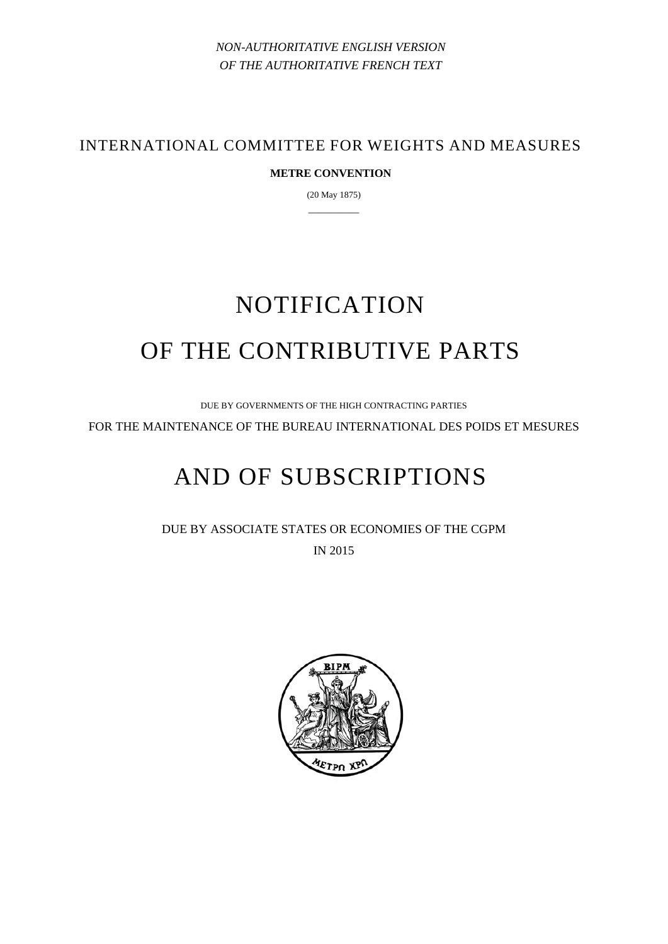*NON-AUTHORITATIVE ENGLISH VERSION OF THE AUTHORITATIVE FRENCH TEXT* 

INTERNATIONAL COMMITTEE FOR WEIGHTS AND MEASURES

## **METRE CONVENTION**

(20 May 1875) —————

# NOTIFICATION OF THE CONTRIBUTIVE PARTS

DUE BY GOVERNMENTS OF THE HIGH CONTRACTING PARTIES

FOR THE MAINTENANCE OF THE BUREAU INTERNATIONAL DES POIDS ET MESURES

# AND OF SUBSCRIPTIONS

DUE BY ASSOCIATE STATES OR ECONOMIES OF THE CGPM IN 2015

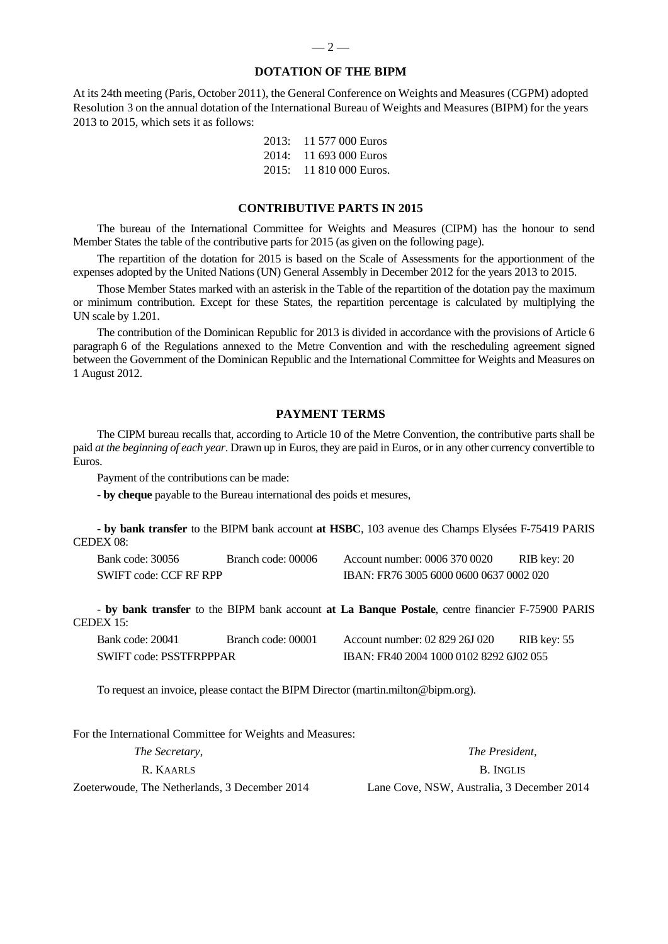#### **DOTATION OF THE BIPM**

At its 24th meeting (Paris, October 2011), the General Conference on Weights and Measures (CGPM) adopted Resolution 3 on the annual dotation of the International Bureau of Weights and Measures (BIPM) for the years 2013 to 2015, which sets it as follows:

|  | 2013: 11 577 000 Euros  |
|--|-------------------------|
|  | 2014: 11 693 000 Euros  |
|  | $2015: 11810000$ Euros. |

#### **CONTRIBUTIVE PARTS IN 2015**

The bureau of the International Committee for Weights and Measures (CIPM) has the honour to send Member States the table of the contributive parts for 2015 (as given on the following page).

The repartition of the dotation for 2015 is based on the Scale of Assessments for the apportionment of the expenses adopted by the United Nations (UN) General Assembly in December 2012 for the years 2013 to 2015.

Those Member States marked with an asterisk in the Table of the repartition of the dotation pay the maximum or minimum contribution. Except for these States, the repartition percentage is calculated by multiplying the UN scale by 1.201.

The contribution of the Dominican Republic for 2013 is divided in accordance with the provisions of Article 6 paragraph 6 of the Regulations annexed to the Metre Convention and with the rescheduling agreement signed between the Government of the Dominican Republic and the International Committee for Weights and Measures on 1 August 2012.

#### **PAYMENT TERMS**

The CIPM bureau recalls that, according to Article 10 of the Metre Convention, the contributive parts shall be paid *at the beginning of each year*. Drawn up in Euros, they are paid in Euros, or in any other currency convertible to Euros.

Payment of the contributions can be made:

- **by cheque** payable to the Bureau international des poids et mesures,

- **by bank transfer** to the BIPM bank account **at HSBC**, 103 avenue des Champs Elysées F-75419 PARIS CEDEX 08:

Bank code: 30056 Branch code: 00006 Account number: 0006 370 0020 RIB key: 20 SWIFT code: CCF RF RPP IBAN: FR76 3005 6000 0600 0637 0002 020

- **by bank transfer** to the BIPM bank account **at La Banque Postale**, centre financier F-75900 PARIS CEDEX 15:

| Bank code: 20041               | Branch code: 00001 | Account number: 02 829 26J 020          | RIB key: 55 |
|--------------------------------|--------------------|-----------------------------------------|-------------|
| <b>SWIFT code: PSSTFRPPPAR</b> |                    | IBAN: FR40 2004 1000 0102 8292 6J02 055 |             |

To request an invoice, please contact the BIPM Director (martin.milton@bipm.org).

For the International Committee for Weights and Measures:

| <i>The Secretary,</i>                         | The President.                             |
|-----------------------------------------------|--------------------------------------------|
| R. KAARLS                                     | B. INGLIS                                  |
| Zoeterwoude, The Netherlands, 3 December 2014 | Lane Cove, NSW, Australia, 3 December 2014 |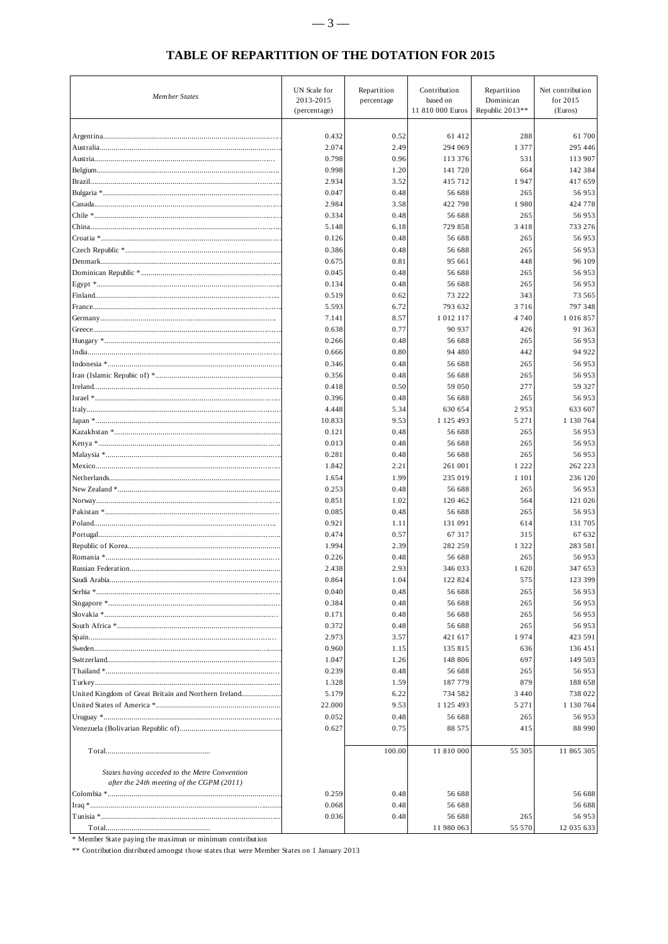| <b>Member States</b>                                 | UN Scale for<br>2013-2015 | Repartition<br>percentage | Contribution<br>based on | Repartition<br>Dominican | Net contribution<br>for 2015 |
|------------------------------------------------------|---------------------------|---------------------------|--------------------------|--------------------------|------------------------------|
|                                                      | (percentage)              |                           | 11 810 000 Euros         | Republic 2013**          | (Euros)                      |
|                                                      |                           |                           |                          |                          |                              |
|                                                      | 0.432                     | 0.52                      | 61 412                   | 288                      | 61 700                       |
|                                                      | 2.074                     | 2.49                      | 294 069                  | 1 377                    | 295 446                      |
|                                                      | 0.798                     | 0.96                      | 113 376                  | 531                      | 113 907                      |
|                                                      | 0.998                     | 1.20                      | 141 720                  | 664                      | 142 384                      |
|                                                      | 2.934                     | 3.52                      | 415 712                  | 1947                     | 417 659                      |
|                                                      | 0.047                     | 0.48                      | 56 688                   | 265                      | 56 953                       |
|                                                      | 2.984                     | 3.58                      | 422 798                  | 1980                     | 424 778                      |
|                                                      | 0.334                     | 0.48                      | 56 688                   | 265                      | 56 953                       |
|                                                      | 5.148                     | 6.18                      | 729 858                  | 3418                     | 733 276                      |
|                                                      | 0.126                     | 0.48                      | 56 688                   | 265                      | 56 953                       |
|                                                      | 0.386                     | 0.48                      | 56 688                   | 265                      | 56 953                       |
|                                                      | 0.675                     | 0.81                      | 95 661                   | 448                      | 96 109                       |
|                                                      | 0.045                     | 0.48                      | 56 688                   | 265                      | 56 953                       |
|                                                      | 0.134<br>0.519            | 0.48<br>0.62              | 56 688<br>73 222         | 265<br>343               | 56 953<br>73 565             |
|                                                      | 5.593                     | 6.72                      | 793 632                  | 3716                     | 797 348                      |
|                                                      | 7.141                     | 8.57                      | 1 0 1 2 1 1 7            | 4 7 4 0                  | 1 016 857                    |
|                                                      | 0.638                     | 0.77                      | 90 937                   | 426                      | 91 363                       |
|                                                      | 0.266                     | 0.48                      | 56 688                   | 265                      | 56 953                       |
|                                                      | 0.666                     | 0.80                      | 94 480                   | 442                      | 94 922                       |
|                                                      | 0.346                     | 0.48                      | 56 688                   | 265                      | 56 953                       |
|                                                      | 0.356                     | 0.48                      | 56 688                   | 265                      | 56 953                       |
|                                                      | 0.418                     | 0.50                      | 59 050                   | 277                      | 59 327                       |
|                                                      | 0.396                     | 0.48                      | 56 688                   | 265                      | 56 953                       |
|                                                      | 4.448                     | 5.34                      | 630 654                  | 2953                     | 633 607                      |
|                                                      | 10.833                    | 9.53                      | 1 1 2 5 4 9 3            | 5 2 7 1                  | 1 130 764                    |
|                                                      | 0.121                     | 0.48                      | 56 688                   | 265                      | 56 953                       |
|                                                      | 0.013                     | 0.48                      | 56 688                   | 265                      | 56 953                       |
|                                                      | 0.281                     | 0.48                      | 56 688                   | 265                      | 56 953                       |
|                                                      | 1.842                     | 2.21                      | 261 001                  | 1 2 2 2                  | 262 223                      |
|                                                      | 1.654                     | 1.99                      | 235 019                  | 1 1 0 1                  | 236 120                      |
|                                                      | 0.253                     | 0.48                      | 56 688                   | 265                      | 56 953                       |
|                                                      | 0.851                     | 1.02                      | 120 462                  | 564                      | 121 026                      |
|                                                      | 0.085                     | 0.48                      | 56 688                   | 265                      | 56 953                       |
|                                                      | 0.921<br>0.474            | 1.11<br>0.57              | 131 091<br>67 317        | 614<br>315               | 131 705<br>67 632            |
|                                                      | 1.994                     | 2.39                      | 282 259                  | 1 3 2 2                  | 283 581                      |
|                                                      | 0.226                     | 0.48                      | 56 688                   | 265                      | 56 953                       |
|                                                      | 2.438                     | 2.93                      | 346 033                  | 1620                     | 347 653                      |
|                                                      | 0.864                     | 1.04                      | 122 824                  | 575                      | 123 399                      |
|                                                      | 0.040                     | 0.48                      | 56 688                   | 265                      | 56 953                       |
|                                                      | 0.384                     | 0.48                      | 56 688                   | 265                      | 56 953                       |
|                                                      | 0.171                     | 0.48                      | 56 688                   | 265                      | 56 953                       |
|                                                      | 0.372                     | 0.48                      | 56 688                   | 265                      | 56 953                       |
|                                                      | 2.973                     | 3.57                      | 421 617                  | 1974                     | 423 591                      |
|                                                      | 0.960                     | 1.15                      | 135 815                  | 636                      | 136 451                      |
|                                                      | 1.047                     | 1.26                      | 148 806                  | 697                      | 149 503                      |
|                                                      | 0.239                     | 0.48                      | 56 688                   | 265                      | 56 953                       |
|                                                      | 1.328                     | 1.59                      | 187 779                  | 879                      | 188 658                      |
| United Kingdom of Great Britain and Northern Ireland | 5.179                     | 6.22                      | 734 582                  | 3 4 4 0                  | 738 022                      |
|                                                      | 22.000                    | 9.53                      | 1 1 2 5 4 9 3            | 5 2 7 1                  | 1 130 764                    |
|                                                      | 0.052                     | 0.48                      | 56 688                   | 265                      | 56 953                       |
|                                                      | 0.627                     | 0.75                      | 88 575                   | 415                      | 88 990                       |
|                                                      |                           | 100.00                    | 11 810 000               | 55 305                   | 11 865 305                   |
| States having acceded to the Metre Convention        |                           |                           |                          |                          |                              |
| after the 24th meeting of the CGPM (2011)            |                           |                           |                          |                          |                              |
|                                                      | 0.259                     | 0.48                      | 56 688                   |                          | 56 688                       |
|                                                      | 0.068                     | 0.48                      | 56 688                   |                          | 56 688                       |
|                                                      | 0.036                     | 0.48                      | 56 688                   | 265                      | 56 953                       |
|                                                      |                           |                           | 11 980 063               | 55 570                   | 12 035 633                   |

### **TABLE OF REPARTITION OF THE DOTATION FOR 2015**

\* Member State paying the maximun or minimum contribution

\*\* Contribution distributed amongst those states that were Member States on 1 January 2013